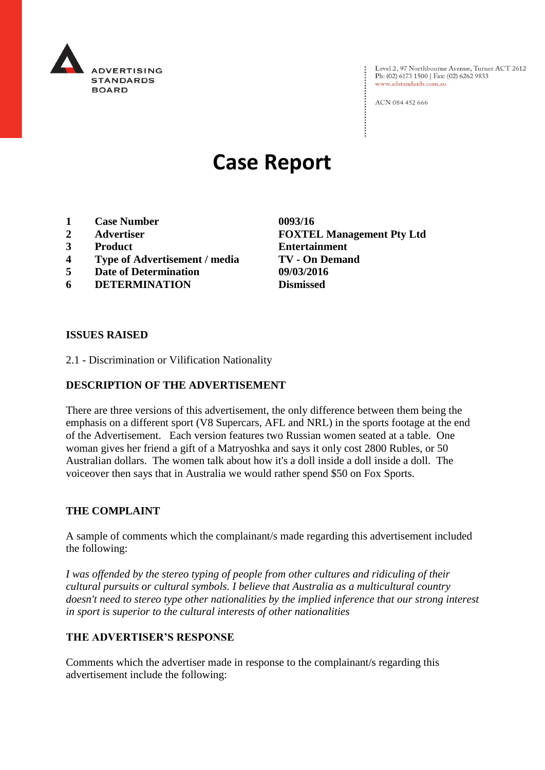

Level 2, 97 Northbourne Avenue, Turner ACT 2612<br>Ph: (02) 6173 1500 | Fax: (02) 6262 9833 www.adstandards.com.au

ACN 084 452 666

# **Case Report**

- **1 Case Number 0093/16**
- 
- 
- **4 Type of Advertisement / media TV - On Demand**
- **5 Date of Determination 09/03/2016**
- **6 DETERMINATION Dismissed**

**2 Advertiser FOXTEL Management Pty Ltd 3 Product Entertainment**

#### **ISSUES RAISED**

2.1 - Discrimination or Vilification Nationality

## **DESCRIPTION OF THE ADVERTISEMENT**

There are three versions of this advertisement, the only difference between them being the emphasis on a different sport (V8 Supercars, AFL and NRL) in the sports footage at the end of the Advertisement. Each version features two Russian women seated at a table. One woman gives her friend a gift of a Matryoshka and says it only cost 2800 Rubles, or 50 Australian dollars. The women talk about how it's a doll inside a doll inside a doll. The voiceover then says that in Australia we would rather spend \$50 on Fox Sports.

#### **THE COMPLAINT**

A sample of comments which the complainant/s made regarding this advertisement included the following:

*I was offended by the stereo typing of people from other cultures and ridiculing of their cultural pursuits or cultural symbols. I believe that Australia as a multicultural country doesn't need to stereo type other nationalities by the implied inference that our strong interest in sport is superior to the cultural interests of other nationalities* 

## **THE ADVERTISER'S RESPONSE**

Comments which the advertiser made in response to the complainant/s regarding this advertisement include the following: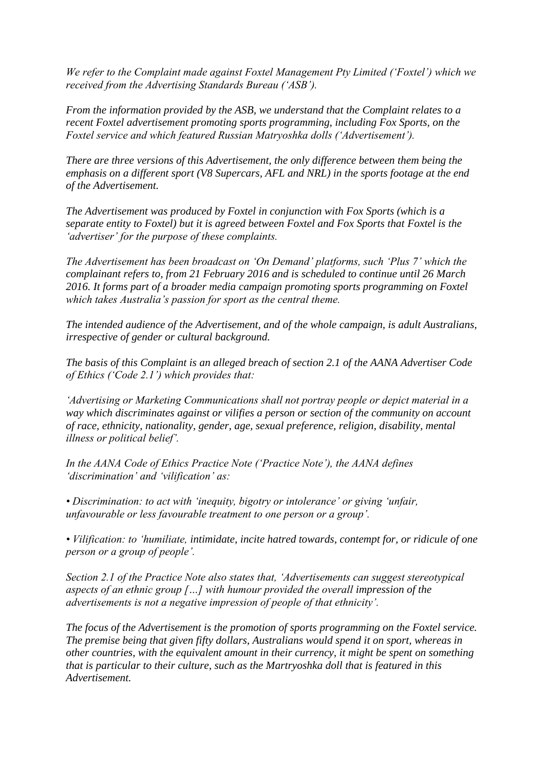*We refer to the Complaint made against Foxtel Management Pty Limited ('Foxtel') which we received from the Advertising Standards Bureau ('ASB').*

*From the information provided by the ASB, we understand that the Complaint relates to a recent Foxtel advertisement promoting sports programming, including Fox Sports, on the Foxtel service and which featured Russian Matryoshka dolls ('Advertisement').*

*There are three versions of this Advertisement, the only difference between them being the emphasis on a different sport (V8 Supercars, AFL and NRL) in the sports footage at the end of the Advertisement.*

*The Advertisement was produced by Foxtel in conjunction with Fox Sports (which is a separate entity to Foxtel) but it is agreed between Foxtel and Fox Sports that Foxtel is the 'advertiser' for the purpose of these complaints.*

*The Advertisement has been broadcast on 'On Demand' platforms, such 'Plus 7' which the complainant refers to, from 21 February 2016 and is scheduled to continue until 26 March 2016. It forms part of a broader media campaign promoting sports programming on Foxtel which takes Australia's passion for sport as the central theme.*

*The intended audience of the Advertisement, and of the whole campaign, is adult Australians, irrespective of gender or cultural background.*

*The basis of this Complaint is an alleged breach of section 2.1 of the AANA Advertiser Code of Ethics ('Code 2.1') which provides that:*

*'Advertising or Marketing Communications shall not portray people or depict material in a way which discriminates against or vilifies a person or section of the community on account of race, ethnicity, nationality, gender, age, sexual preference, religion, disability, mental illness or political belief'.*

*In the AANA Code of Ethics Practice Note ('Practice Note'), the AANA defines 'discrimination' and 'vilification' as:*

*• Discrimination: to act with 'inequity, bigotry or intolerance' or giving 'unfair, unfavourable or less favourable treatment to one person or a group'.*

*• Vilification: to 'humiliate, intimidate, incite hatred towards, contempt for, or ridicule of one person or a group of people'.*

*Section 2.1 of the Practice Note also states that, 'Advertisements can suggest stereotypical aspects of an ethnic group […] with humour provided the overall impression of the advertisements is not a negative impression of people of that ethnicity'.*

*The focus of the Advertisement is the promotion of sports programming on the Foxtel service. The premise being that given fifty dollars, Australians would spend it on sport, whereas in other countries, with the equivalent amount in their currency, it might be spent on something that is particular to their culture, such as the Martryoshka doll that is featured in this Advertisement.*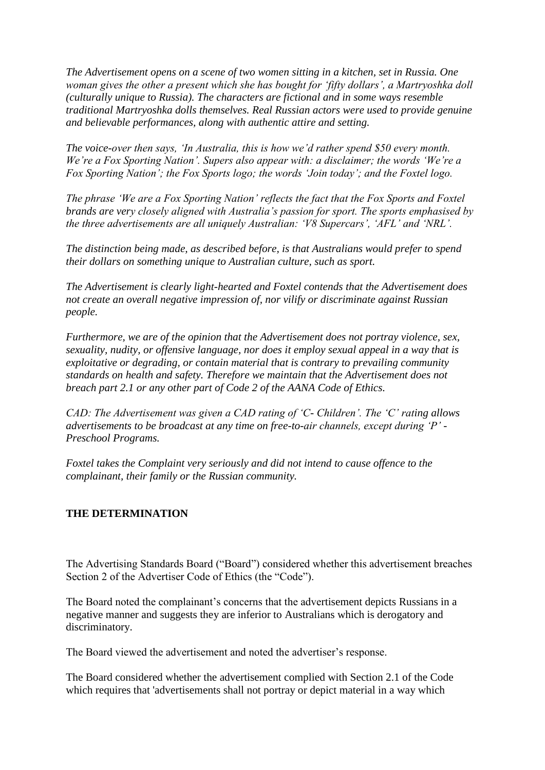*The Advertisement opens on a scene of two women sitting in a kitchen, set in Russia. One woman gives the other a present which she has bought for 'fifty dollars', a Martryoshka doll (culturally unique to Russia). The characters are fictional and in some ways resemble traditional Martryoshka dolls themselves. Real Russian actors were used to provide genuine and believable performances, along with authentic attire and setting.*

*The voice-over then says, 'In Australia, this is how we'd rather spend \$50 every month. We're a Fox Sporting Nation'. Supers also appear with: a disclaimer; the words 'We're a Fox Sporting Nation'; the Fox Sports logo; the words 'Join today'; and the Foxtel logo.*

*The phrase 'We are a Fox Sporting Nation' reflects the fact that the Fox Sports and Foxtel brands are very closely aligned with Australia's passion for sport. The sports emphasised by the three advertisements are all uniquely Australian: 'V8 Supercars', 'AFL' and 'NRL'.*

*The distinction being made, as described before, is that Australians would prefer to spend their dollars on something unique to Australian culture, such as sport.*

*The Advertisement is clearly light-hearted and Foxtel contends that the Advertisement does not create an overall negative impression of, nor vilify or discriminate against Russian people.*

*Furthermore, we are of the opinion that the Advertisement does not portray violence, sex, sexuality, nudity, or offensive language, nor does it employ sexual appeal in a way that is exploitative or degrading, or contain material that is contrary to prevailing community standards on health and safety. Therefore we maintain that the Advertisement does not breach part 2.1 or any other part of Code 2 of the AANA Code of Ethics.*

*CAD: The Advertisement was given a CAD rating of 'C- Children'. The 'C' rating allows advertisements to be broadcast at any time on free-to-air channels, except during 'P' - Preschool Programs.*

*Foxtel takes the Complaint very seriously and did not intend to cause offence to the complainant, their family or the Russian community.*

#### **THE DETERMINATION**

The Advertising Standards Board ("Board") considered whether this advertisement breaches Section 2 of the Advertiser Code of Ethics (the "Code").

The Board noted the complainant's concerns that the advertisement depicts Russians in a negative manner and suggests they are inferior to Australians which is derogatory and discriminatory.

The Board viewed the advertisement and noted the advertiser's response.

The Board considered whether the advertisement complied with Section 2.1 of the Code which requires that 'advertisements shall not portray or depict material in a way which